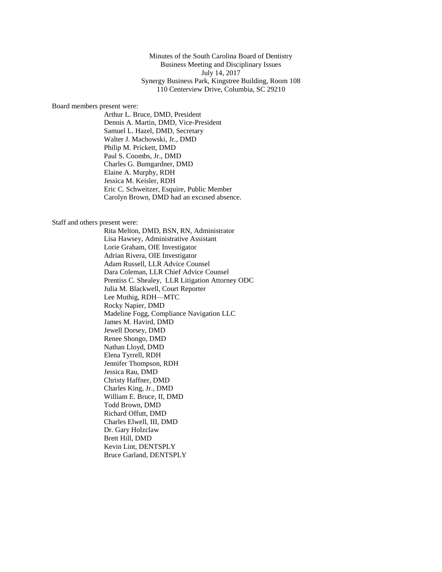Minutes of the South Carolina Board of Dentistry Business Meeting and Disciplinary Issues July 14, 2017 Synergy Business Park, Kingstree Building, Room 108 110 Centerview Drive, Columbia, SC 29210

#### Board members present were:

Arthur L. Bruce, DMD, President Dennis A. Martin, DMD, Vice-President Samuel L. Hazel, DMD, Secretary Walter J. Machowski, Jr., DMD Philip M. Prickett, DMD Paul S. Coombs, Jr., DMD Charles G. Bumgardner, DMD Elaine A. Murphy, RDH Jessica M. Keisler, RDH Eric C. Schweitzer, Esquire, Public Member Carolyn Brown, DMD had an excused absence.

#### Staff and others present were:

Rita Melton, DMD, BSN, RN, Administrator Lisa Hawsey, Administrative Assistant Lorie Graham, OIE Investigator Adrian Rivera, OIE Investigator Adam Russell, LLR Advice Counsel Dara Coleman, LLR Chief Advice Counsel Prentiss C. Shealey, LLR Litigation Attorney ODC Julia M. Blackwell, Court Reporter Lee Muthig, RDH—MTC Rocky Napier, DMD Madeline Fogg, Compliance Navigation LLC James M. Havird, DMD Jewell Dorsey, DMD Renee Shongo, DMD Nathan Lloyd, DMD Elena Tyrrell, RDH Jennifer Thompson, RDH Jessica Rau, DMD Christy Haffner, DMD Charles King, Jr., DMD William E. Bruce, II, DMD Todd Brown, DMD Richard Offutt, DMD Charles Elwell, III, DMD Dr. Gary Holzclaw Brett Hill, DMD Kevin Lint, DENTSPLY Bruce Garland, DENTSPLY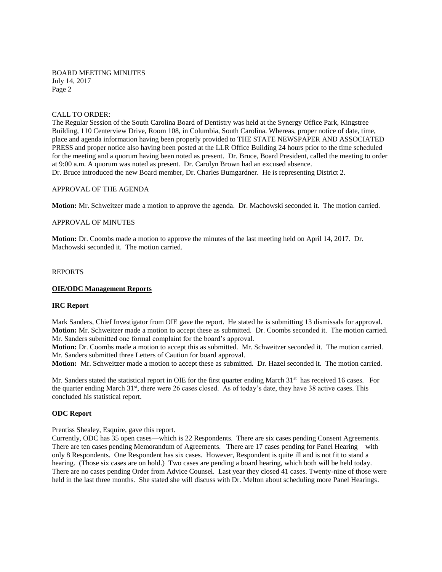### CALL TO ORDER:

The Regular Session of the South Carolina Board of Dentistry was held at the Synergy Office Park, Kingstree Building, 110 Centerview Drive, Room 108, in Columbia, South Carolina. Whereas, proper notice of date, time, place and agenda information having been properly provided to THE STATE NEWSPAPER AND ASSOCIATED PRESS and proper notice also having been posted at the LLR Office Building 24 hours prior to the time scheduled for the meeting and a quorum having been noted as present. Dr. Bruce, Board President, called the meeting to order at 9:00 a.m. A quorum was noted as present. Dr. Carolyn Brown had an excused absence. Dr. Bruce introduced the new Board member, Dr. Charles Bumgardner. He is representing District 2.

## APPROVAL OF THE AGENDA

**Motion:** Mr. Schweitzer made a motion to approve the agenda. Dr. Machowski seconded it. The motion carried.

### APPROVAL OF MINUTES

**Motion:** Dr. Coombs made a motion to approve the minutes of the last meeting held on April 14, 2017. Dr. Machowski seconded it. The motion carried.

#### REPORTS

#### **OIE/ODC Management Reports**

## **IRC Report**

Mark Sanders, Chief Investigator from OIE gave the report. He stated he is submitting 13 dismissals for approval. **Motion:** Mr. Schweitzer made a motion to accept these as submitted.Dr. Coombs seconded it. The motion carried. Mr. Sanders submitted one formal complaint for the board's approval.

**Motion:** Dr. Coombs made a motion to accept this as submitted. Mr. Schweitzer seconded it. The motion carried. Mr. Sanders submitted three Letters of Caution for board approval.

**Motion:** Mr. Schweitzer made a motion to accept these as submitted. Dr. Hazel seconded it. The motion carried.

Mr. Sanders stated the statistical report in OIE for the first quarter ending March  $31<sup>st</sup>$  has received 16 cases. For the quarter ending March 31<sup>st</sup>, there were 26 cases closed. As of today's date, they have 38 active cases. This concluded his statistical report.

#### **ODC Report**

### Prentiss Shealey, Esquire, gave this report.

Currently, ODC has 35 open cases—which is 22 Respondents. There are six cases pending Consent Agreements. There are ten cases pending Memorandum of Agreements. There are 17 cases pending for Panel Hearing—with only 8 Respondents. One Respondent has six cases. However, Respondent is quite ill and is not fit to stand a hearing. (Those six cases are on hold.) Two cases are pending a board hearing, which both will be held today. There are no cases pending Order from Advice Counsel. Last year they closed 41 cases. Twenty-nine of those were held in the last three months. She stated she will discuss with Dr. Melton about scheduling more Panel Hearings.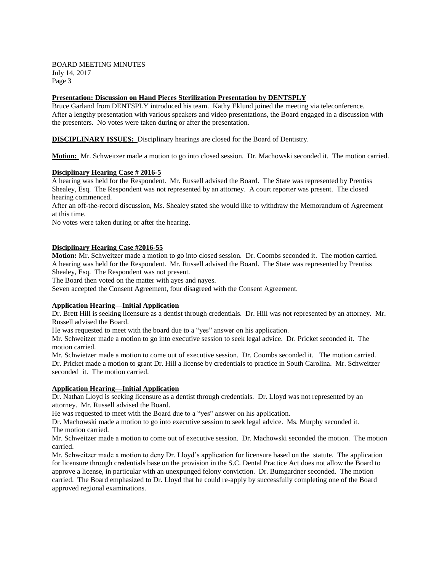## **Presentation: Discussion on Hand Pieces Sterilization Presentation by DENTSPLY**

Bruce Garland from DENTSPLY introduced his team. Kathy Eklund joined the meeting via teleconference. After a lengthy presentation with various speakers and video presentations, the Board engaged in a discussion with the presenters. No votes were taken during or after the presentation.

**DISCIPLINARY ISSUES:** Disciplinary hearings are closed for the Board of Dentistry.

**Motion:** Mr. Schweitzer made a motion to go into closed session. Dr. Machowski seconded it. The motion carried.

## **Disciplinary Hearing Case # 2016-5**

A hearing was held for the Respondent. Mr. Russell advised the Board. The State was represented by Prentiss Shealey, Esq. The Respondent was not represented by an attorney. A court reporter was present. The closed hearing commenced.

After an off-the-record discussion, Ms. Shealey stated she would like to withdraw the Memorandum of Agreement at this time.

No votes were taken during or after the hearing.

## **Disciplinary Hearing Case #2016-55**

**Motion:** Mr. Schweitzer made a motion to go into closed session. Dr. Coombs seconded it. The motion carried. A hearing was held for the Respondent. Mr. Russell advised the Board. The State was represented by Prentiss Shealey, Esq. The Respondent was not present.

The Board then voted on the matter with ayes and nayes.

Seven accepted the Consent Agreement, four disagreed with the Consent Agreement.

## **Application Hearing—Initial Application**

Dr. Brett Hill is seeking licensure as a dentist through credentials. Dr. Hill was not represented by an attorney. Mr. Russell advised the Board.

He was requested to meet with the board due to a "yes" answer on his application.

Mr. Schweitzer made a motion to go into executive session to seek legal advice. Dr. Pricket seconded it. The motion carried.

Mr. Schwietzer made a motion to come out of executive session. Dr. Coombs seconded it. The motion carried. Dr. Pricket made a motion to grant Dr. Hill a license by credentials to practice in South Carolina. Mr. Schweitzer seconded it. The motion carried.

## **Application Hearing—Initial Application**

Dr. Nathan Lloyd is seeking licensure as a dentist through credentials. Dr. Lloyd was not represented by an attorney. Mr. Russell advised the Board.

He was requested to meet with the Board due to a "yes" answer on his application.

Dr. Machowski made a motion to go into executive session to seek legal advice. Ms. Murphy seconded it. The motion carried.

Mr. Schweitzer made a motion to come out of executive session. Dr. Machowski seconded the motion. The motion carried.

Mr. Schweitzer made a motion to deny Dr. Lloyd's application for licensure based on the statute. The application for licensure through credentials base on the provision in the S.C. Dental Practice Act does not allow the Board to approve a license, in particular with an unexpunged felony conviction. Dr. Bumgardner seconded. The motion carried. The Board emphasized to Dr. Lloyd that he could re-apply by successfully completing one of the Board approved regional examinations.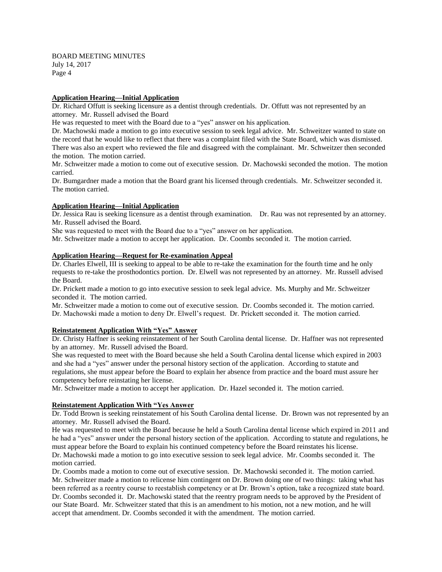## **Application Hearing—Initial Application**

Dr. Richard Offutt is seeking licensure as a dentist through credentials. Dr. Offutt was not represented by an attorney. Mr. Russell advised the Board

He was requested to meet with the Board due to a "yes" answer on his application.

Dr. Machowski made a motion to go into executive session to seek legal advice. Mr. Schweitzer wanted to state on the record that he would like to reflect that there was a complaint filed with the State Board, which was dismissed. There was also an expert who reviewed the file and disagreed with the complainant. Mr. Schweitzer then seconded the motion. The motion carried.

Mr. Schweitzer made a motion to come out of executive session. Dr. Machowski seconded the motion. The motion carried.

Dr. Bumgardner made a motion that the Board grant his licensed through credentials. Mr. Schweitzer seconded it. The motion carried.

## **Application Hearing—Initial Application**

Dr. Jessica Rau is seeking licensure as a dentist through examination. Dr. Rau was not represented by an attorney. Mr. Russell advised the Board.

She was requested to meet with the Board due to a "yes" answer on her application.

Mr. Schweitzer made a motion to accept her application. Dr. Coombs seconded it. The motion carried.

## **Application Hearing—Request for Re-examination Appeal**

Dr. Charles Elwell, III is seeking to appeal to be able to re-take the examination for the fourth time and he only requests to re-take the prosthodontics portion. Dr. Elwell was not represented by an attorney. Mr. Russell advised the Board.

Dr. Prickett made a motion to go into executive session to seek legal advice. Ms. Murphy and Mr. Schweitzer seconded it. The motion carried.

Mr. Schweitzer made a motion to come out of executive session. Dr. Coombs seconded it. The motion carried. Dr. Machowski made a motion to deny Dr. Elwell's request. Dr. Prickett seconded it. The motion carried.

## **Reinstatement Application With "Yes" Answer**

Dr. Christy Haffner is seeking reinstatement of her South Carolina dental license. Dr. Haffner was not represented by an attorney. Mr. Russell advised the Board.

She was requested to meet with the Board because she held a South Carolina dental license which expired in 2003 and she had a "yes" answer under the personal history section of the application. According to statute and regulations, she must appear before the Board to explain her absence from practice and the board must assure her competency before reinstating her license.

Mr. Schweitzer made a motion to accept her application. Dr. Hazel seconded it. The motion carried.

## **Reinstatement Application With "Yes Answer**

Dr. Todd Brown is seeking reinstatement of his South Carolina dental license. Dr. Brown was not represented by an attorney. Mr. Russell advised the Board.

He was requested to meet with the Board because he held a South Carolina dental license which expired in 2011 and he had a "yes" answer under the personal history section of the application. According to statute and regulations, he must appear before the Board to explain his continued competency before the Board reinstates his license.

Dr. Machowski made a motion to go into executive session to seek legal advice. Mr. Coombs seconded it. The motion carried.

Dr. Coombs made a motion to come out of executive session. Dr. Machowski seconded it. The motion carried. Mr. Schweitzer made a motion to relicense him contingent on Dr. Brown doing one of two things: taking what has been referred as a reentry course to reestablish competency or at Dr. Brown's option, take a recognized state board. Dr. Coombs seconded it. Dr. Machowski stated that the reentry program needs to be approved by the President of our State Board. Mr. Schweitzer stated that this is an amendment to his motion, not a new motion, and he will accept that amendment. Dr. Coombs seconded it with the amendment. The motion carried.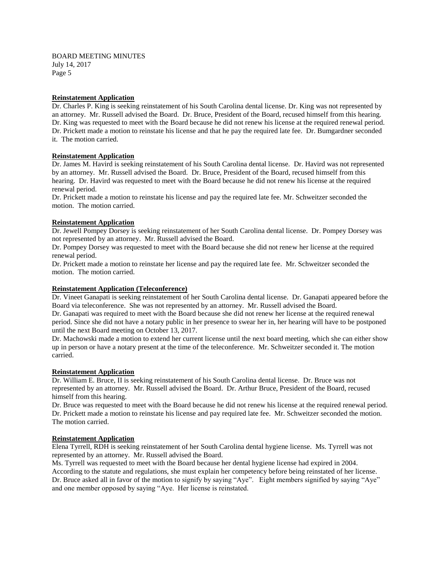## **Reinstatement Application**

Dr. Charles P. King is seeking reinstatement of his South Carolina dental license. Dr. King was not represented by an attorney. Mr. Russell advised the Board. Dr. Bruce, President of the Board, recused himself from this hearing. Dr. King was requested to meet with the Board because he did not renew his license at the required renewal period. Dr. Prickett made a motion to reinstate his license and that he pay the required late fee. Dr. Bumgardner seconded it. The motion carried.

## **Reinstatement Application**

Dr. James M. Havird is seeking reinstatement of his South Carolina dental license. Dr. Havird was not represented by an attorney. Mr. Russell advised the Board. Dr. Bruce, President of the Board, recused himself from this hearing. Dr. Havird was requested to meet with the Board because he did not renew his license at the required renewal period.

Dr. Prickett made a motion to reinstate his license and pay the required late fee. Mr. Schweitzer seconded the motion. The motion carried.

## **Reinstatement Application**

Dr. Jewell Pompey Dorsey is seeking reinstatement of her South Carolina dental license. Dr. Pompey Dorsey was not represented by an attorney. Mr. Russell advised the Board.

Dr. Pompey Dorsey was requested to meet with the Board because she did not renew her license at the required renewal period.

Dr. Prickett made a motion to reinstate her license and pay the required late fee. Mr. Schweitzer seconded the motion. The motion carried.

## **Reinstatement Application (Teleconference)**

Dr. Vineet Ganapati is seeking reinstatement of her South Carolina dental license. Dr. Ganapati appeared before the Board via teleconference. She was not represented by an attorney. Mr. Russell advised the Board.

Dr. Ganapati was required to meet with the Board because she did not renew her license at the required renewal period. Since she did not have a notary public in her presence to swear her in, her hearing will have to be postponed until the next Board meeting on October 13, 2017.

Dr. Machowski made a motion to extend her current license until the next board meeting, which she can either show up in person or have a notary present at the time of the teleconference. Mr. Schweitzer seconded it. The motion carried.

## **Reinstatement Application**

Dr. William E. Bruce, II is seeking reinstatement of his South Carolina dental license. Dr. Bruce was not represented by an attorney. Mr. Russell advised the Board. Dr. Arthur Bruce, President of the Board, recused himself from this hearing.

Dr. Bruce was requested to meet with the Board because he did not renew his license at the required renewal period. Dr. Prickett made a motion to reinstate his license and pay required late fee. Mr. Schweitzer seconded the motion. The motion carried.

## **Reinstatement Application**

Elena Tyrrell, RDH is seeking reinstatement of her South Carolina dental hygiene license. Ms. Tyrrell was not represented by an attorney. Mr. Russell advised the Board.

Ms. Tyrrell was requested to meet with the Board because her dental hygiene license had expired in 2004. According to the statute and regulations, she must explain her competency before being reinstated of her license. Dr. Bruce asked all in favor of the motion to signify by saying "Aye". Eight members signified by saying "Aye" and one member opposed by saying "Aye. Her license is reinstated.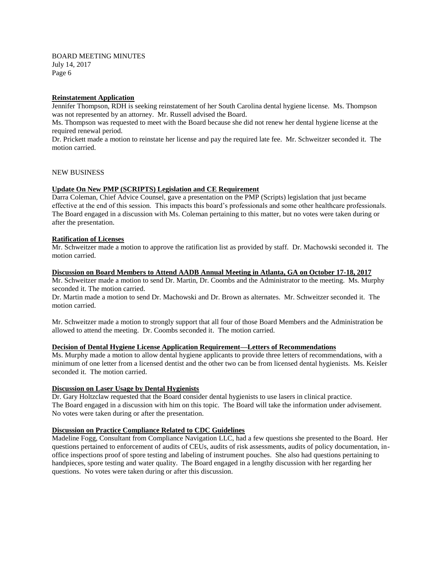### **Reinstatement Application**

Jennifer Thompson, RDH is seeking reinstatement of her South Carolina dental hygiene license. Ms. Thompson was not represented by an attorney. Mr. Russell advised the Board.

Ms. Thompson was requested to meet with the Board because she did not renew her dental hygiene license at the required renewal period.

Dr. Prickett made a motion to reinstate her license and pay the required late fee. Mr. Schweitzer seconded it. The motion carried.

### NEW BUSINESS

#### **Update On New PMP (SCRIPTS) Legislation and CE Requirement**

Darra Coleman, Chief Advice Counsel, gave a presentation on the PMP (Scripts) legislation that just became effective at the end of this session. This impacts this board's professionals and some other healthcare professionals. The Board engaged in a discussion with Ms. Coleman pertaining to this matter, but no votes were taken during or after the presentation.

### **Ratification of Licenses**

Mr. Schweitzer made a motion to approve the ratification list as provided by staff. Dr. Machowski seconded it. The motion carried.

#### **Discussion on Board Members to Attend AADB Annual Meeting in Atlanta, GA on October 17-18, 2017**

Mr. Schweitzer made a motion to send Dr. Martin, Dr. Coombs and the Administrator to the meeting. Ms. Murphy seconded it. The motion carried.

Dr. Martin made a motion to send Dr. Machowski and Dr. Brown as alternates. Mr. Schweitzer seconded it. The motion carried.

Mr. Schweitzer made a motion to strongly support that all four of those Board Members and the Administration be allowed to attend the meeting. Dr. Coombs seconded it. The motion carried.

### **Decision of Dental Hygiene License Application Requirement—Letters of Recommendations**

Ms. Murphy made a motion to allow dental hygiene applicants to provide three letters of recommendations, with a minimum of one letter from a licensed dentist and the other two can be from licensed dental hygienists. Ms. Keisler seconded it. The motion carried.

#### **Discussion on Laser Usage by Dental Hygienists**

Dr. Gary Holtzclaw requested that the Board consider dental hygienists to use lasers in clinical practice. The Board engaged in a discussion with him on this topic. The Board will take the information under advisement. No votes were taken during or after the presentation.

## **Discussion on Practice Compliance Related to CDC Guidelines**

Madeline Fogg, Consultant from Compliance Navigation LLC, had a few questions she presented to the Board. Her questions pertained to enforcement of audits of CEUs, audits of risk assessments, audits of policy documentation, inoffice inspections proof of spore testing and labeling of instrument pouches. She also had questions pertaining to handpieces, spore testing and water quality. The Board engaged in a lengthy discussion with her regarding her questions. No votes were taken during or after this discussion.